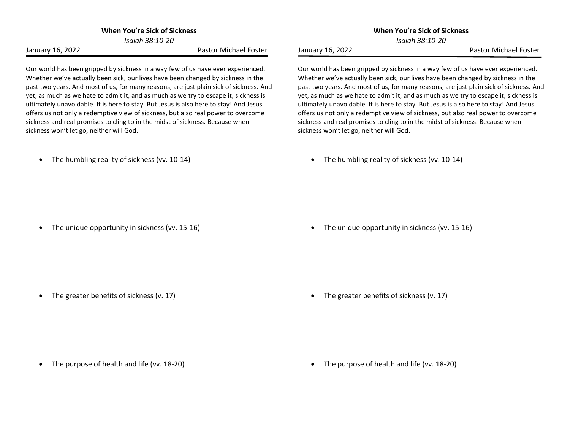**When You're Sick of Sickness**

*Isaiah 38:10-20*

January 16, 2022 **Pastor Michael Foster** 

Our world has been gripped by sickness in a way few of us have ever experienced. Whether we've actually been sick, our lives have been changed by sickness in the past two years. And most of us, for many reasons, are just plain sick of sickness. And yet, as much as we hate to admit it, and as much as we try to escape it, sickness is ultimately unavoidable. It is here to stay. But Jesus is also here to stay! And Jesus offers us not only a redemptive view of sickness, but also real power to overcome sickness and real promises to cling to in the midst of sickness. Because when sickness won't let go, neither will God.

• The humbling reality of sickness (vv. 10-14)

*Isaiah 38:10-20* January 16, 2022 **Pastor Michael Foster** 

Our world has been gripped by sickness in a way few of us have ever experienced. Whether we've actually been sick, our lives have been changed by sickness in the past two years. And most of us, for many reasons, are just plain sick of sickness. And yet, as much as we hate to admit it, and as much as we try to escape it, sickness is ultimately unavoidable. It is here to stay. But Jesus is also here to stay! And Jesus offers us not only a redemptive view of sickness, but also real power to overcome sickness and real promises to cling to in the midst of sickness. Because when sickness won't let go, neither will God.

**When You're Sick of Sickness**

• The humbling reality of sickness (vv. 10-14)

• The unique opportunity in sickness (vv. 15-16)

• The unique opportunity in sickness (vv. 15-16)

• The greater benefits of sickness (v. 17)

• The greater benefits of sickness (v. 17)

• The purpose of health and life (vv. 18-20)

• The purpose of health and life (vv. 18-20)